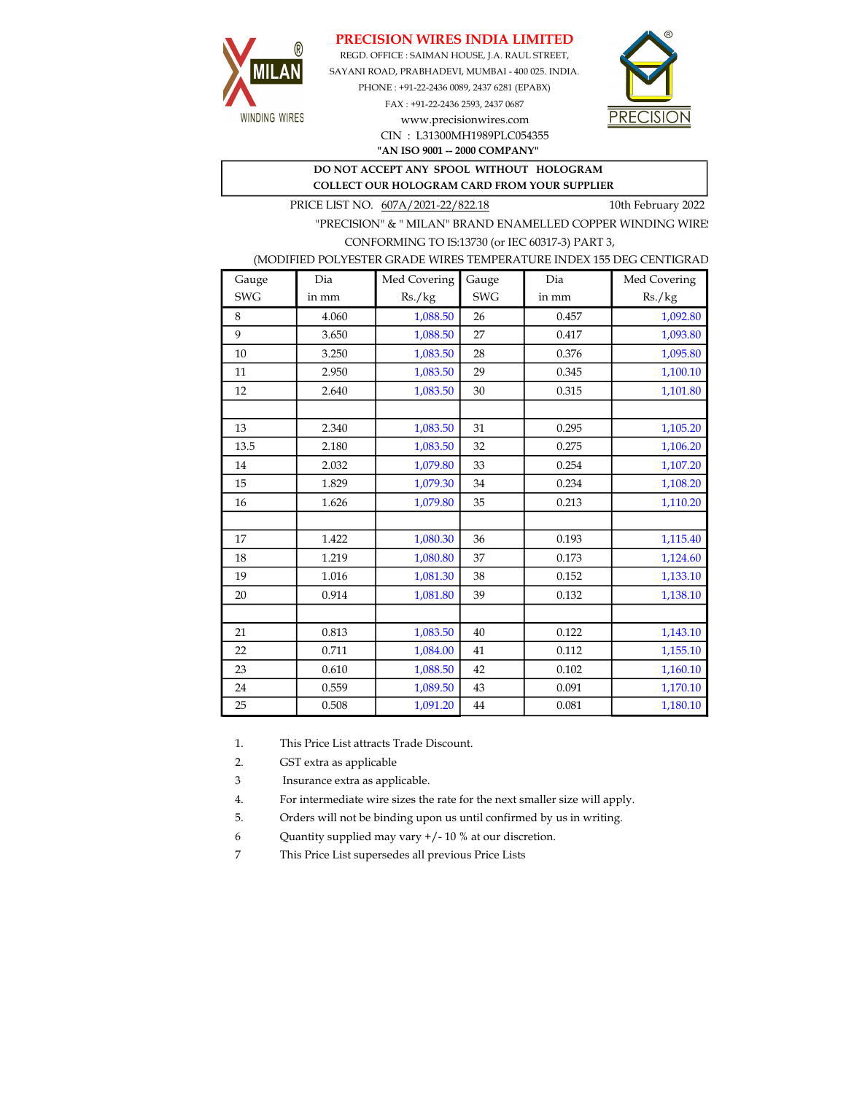## PRECISION WIRES INDIA LIMITED



REGD. OFFICE : SAIMAN HOUSE, J.A. RAUL STREET, SAYANI ROAD, PRABHADEVI, MUMBAI - 400 025. INDIA. PHONE : +91-22-2436 0089, 2437 6281 (EPABX)

> FAX : +91-22-2436 2593, 2437 0687 www.precisionwires.com CIN : L31300MH1989PLC054355



"AN ISO 9001 -- 2000 COMPANY"

## DO NOT ACCEPT ANY SPOOL WITHOUT HOLOGRAM COLLECT OUR HOLOGRAM CARD FROM YOUR SUPPLIER

PRICE LIST NO.  $607A/2021-22/822.18$  10th February 2022

"PRECISION" & " MILAN" BRAND ENAMELLED COPPER WINDING WIRE CONFORMING TO IS:13730 (or IEC 60317-3) PART 3,

|  |  | (MODIFIED POLYESTER GRADE WIRES TEMPERATURE INDEX 155 DEG CENTIGRAD |  |
|--|--|---------------------------------------------------------------------|--|
|  |  |                                                                     |  |

| Gauge      | Dia   | Med Covering | Gauge      | Dia   | Med Covering |
|------------|-------|--------------|------------|-------|--------------|
| <b>SWG</b> | in mm | Rs./kg       | <b>SWG</b> | in mm | Rs./kg       |
| 8          | 4.060 | 1,088.50     | 26         | 0.457 | 1,092.80     |
| 9          | 3.650 | 1,088.50     | 27         | 0.417 | 1,093.80     |
| 10         | 3.250 | 1,083.50     | 28         | 0.376 | 1,095.80     |
| 11         | 2.950 | 1,083.50     | 29         | 0.345 | 1,100.10     |
| 12         | 2.640 | 1,083.50     | 30         | 0.315 | 1,101.80     |
|            |       |              |            |       |              |
| 13         | 2.340 | 1,083.50     | 31         | 0.295 | 1,105.20     |
| 13.5       | 2.180 | 1,083.50     | 32         | 0.275 | 1,106.20     |
| 14         | 2.032 | 1,079.80     | 33         | 0.254 | 1,107.20     |
| 15         | 1.829 | 1,079.30     | 34         | 0.234 | 1,108.20     |
| 16         | 1.626 | 1,079.80     | 35         | 0.213 | 1,110.20     |
|            |       |              |            |       |              |
| 17         | 1.422 | 1,080.30     | 36         | 0.193 | 1,115.40     |
| 18         | 1.219 | 1,080.80     | 37         | 0.173 | 1,124.60     |
| 19         | 1.016 | 1,081.30     | 38         | 0.152 | 1,133.10     |
| 20         | 0.914 | 1,081.80     | 39         | 0.132 | 1,138.10     |
|            |       |              |            |       |              |
| 21         | 0.813 | 1,083.50     | 40         | 0.122 | 1,143.10     |
| 22         | 0.711 | 1,084.00     | 41         | 0.112 | 1,155.10     |
| 23         | 0.610 | 1,088.50     | 42         | 0.102 | 1,160.10     |
| 24         | 0.559 | 1,089.50     | 43         | 0.091 | 1,170.10     |
| 25         | 0.508 | 1,091.20     | 44         | 0.081 | 1,180.10     |

1. This Price List attracts Trade Discount.

2. GST extra as applicable

3 Insurance extra as applicable.

4. For intermediate wire sizes the rate for the next smaller size will apply.

5. Orders will not be binding upon us until confirmed by us in writing.

6 Quantity supplied may vary +/- 10 % at our discretion.

7 This Price List supersedes all previous Price Lists